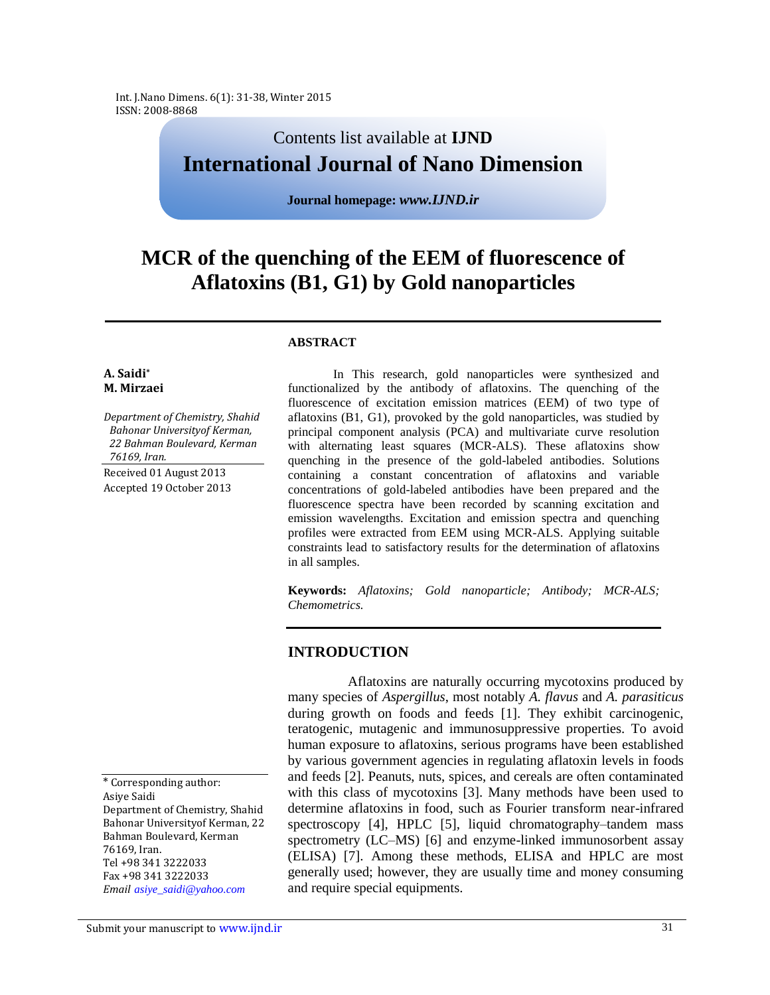# Contents list available at **IJND International Journal of Nano Dimension**

**Journal homepage:** *www.IJND.ir*

# **MCR of the quenching of the EEM of fluorescence of Aflatoxins (B1, G1) by Gold nanoparticles**

#### **ABSTRACT**

#### **A. Saidi\* M. Mirzaei**

*Department of Chemistry, Shahid Bahonar Universityof Kerman, 22 Bahman Boulevard, Kerman 76169, Iran.*

Received 01 August 2013 Accepted 19 October 2013

In This research, gold nanoparticles were synthesized and functionalized by the antibody of aflatoxins. The quenching of the fluorescence of excitation emission matrices (EEM) of two type of aflatoxins (B1, G1), provoked by the gold nanoparticles, was studied by principal component analysis (PCA) and multivariate curve resolution with alternating least squares (MCR-ALS). These aflatoxins show quenching in the presence of the gold-labeled antibodies. Solutions containing a constant concentration of aflatoxins and variable concentrations of gold-labeled antibodies have been prepared and the fluorescence spectra have been recorded by scanning excitation and emission wavelengths. Excitation and emission spectra and quenching profiles were extracted from EEM using MCR-ALS. Applying suitable constraints lead to satisfactory results for the determination of aflatoxins in all samples.

**Keywords:** *Aflatoxins; Gold nanoparticle; Antibody; MCR-ALS; Chemometrics.*

## **INTRODUCTION**

Aflatoxins are naturally occurring mycotoxins produced by many species of *Aspergillus*, most notably *A. flavus* and *A. parasiticus* during growth on foods and feeds [1]. They exhibit carcinogenic, teratogenic, mutagenic and immunosuppressive properties. To avoid human exposure to aflatoxins, serious programs have been established by various government agencies in regulating aflatoxin levels in foods and feeds [2]. Peanuts, nuts, spices, and cereals are often contaminated with this class of mycotoxins [3]. Many methods have been used to determine aflatoxins in food, such as Fourier transform near-infrared spectroscopy [4], HPLC [5], liquid chromatography–tandem mass spectrometry (LC–MS) [6] and enzyme-linked immunosorbent assay (ELISA) [7]. Among these methods, ELISA and HPLC are most generally used; however, they are usually time and money consuming and require special equipments.

\* Corresponding author: Asiye Saidi Department of Chemistry, Shahid Bahonar Universityof Kerman, 22 Bahman Boulevard, Kerman 76169, Iran. Tel +98 341 3222033 Fax +98 341 3222033 *Email asiye\_saidi@yahoo.com*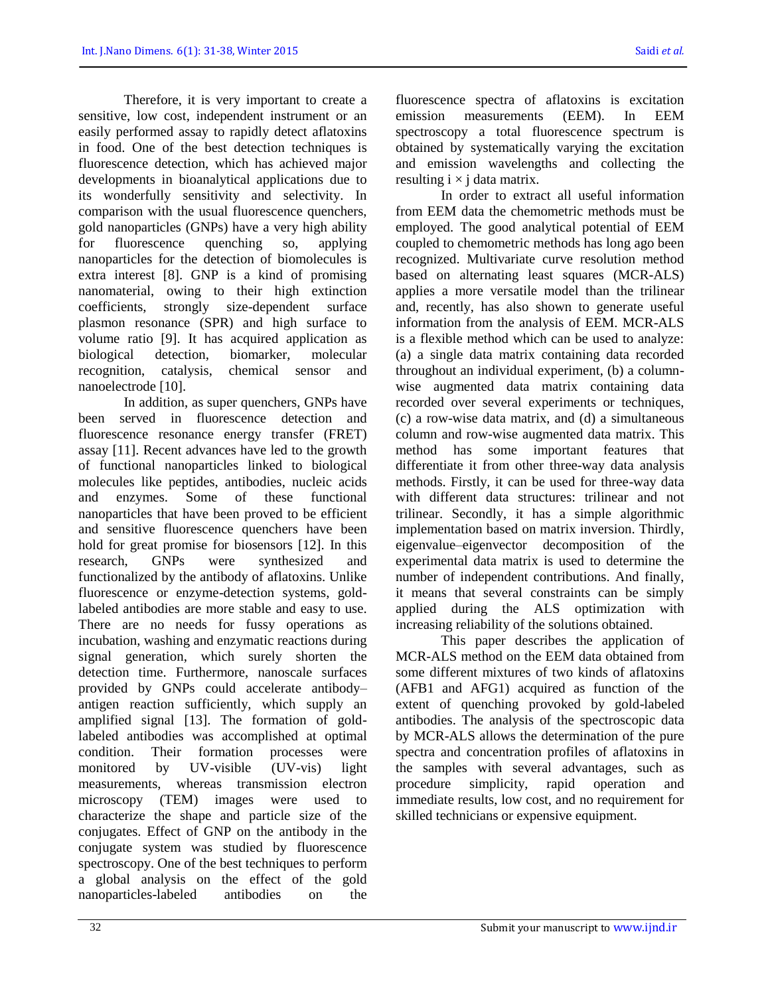Therefore, it is very important to create a sensitive, low cost, independent instrument or an easily performed assay to rapidly detect aflatoxins in food. One of the best detection techniques is fluorescence detection, which has achieved major developments in bioanalytical applications due to its wonderfully sensitivity and selectivity. In comparison with the usual fluorescence quenchers, gold nanoparticles (GNPs) have a very high ability for fluorescence quenching so, applying nanoparticles for the detection of biomolecules is extra interest [8]. GNP is a kind of promising nanomaterial, owing to their high extinction coefficients, strongly size-dependent surface plasmon resonance (SPR) and high surface to volume ratio [9]. It has acquired application as biological detection, biomarker, molecular recognition, catalysis, chemical sensor and nanoelectrode [10].

In addition, as super quenchers, GNPs have been served in fluorescence detection and fluorescence resonance energy transfer (FRET) assay [11]. Recent advances have led to the growth of functional nanoparticles linked to biological molecules like peptides, antibodies, nucleic acids and enzymes. Some of these functional nanoparticles that have been proved to be efficient and sensitive fluorescence quenchers have been hold for great promise for biosensors [12]. In this research, GNPs were synthesized and functionalized by the antibody of aflatoxins. Unlike fluorescence or enzyme-detection systems, goldlabeled antibodies are more stable and easy to use. There are no needs for fussy operations as incubation, washing and enzymatic reactions during signal generation, which surely shorten the detection time. Furthermore, nanoscale surfaces provided by GNPs could accelerate antibody– antigen reaction sufficiently, which supply an amplified signal [13]. The formation of goldlabeled antibodies was accomplished at optimal condition. Their formation processes were monitored by UV-visible (UV-vis) light measurements, whereas transmission electron microscopy (TEM) images were used to characterize the shape and particle size of the conjugates. Effect of GNP on the antibody in the conjugate system was studied by fluorescence spectroscopy. One of the best techniques to perform a global analysis on the effect of the gold nanoparticles-labeled antibodies on the

fluorescence spectra of aflatoxins is excitation emission measurements (EEM). In EEM spectroscopy a total fluorescence spectrum is obtained by systematically varying the excitation and emission wavelengths and collecting the resulting  $i \times j$  data matrix.

In order to extract all useful information from EEM data the chemometric methods must be employed. The good analytical potential of EEM coupled to chemometric methods has long ago been recognized. Multivariate curve resolution method based on alternating least squares (MCR-ALS) applies a more versatile model than the trilinear and, recently, has also shown to generate useful information from the analysis of EEM. MCR-ALS is a flexible method which can be used to analyze: (a) a single data matrix containing data recorded throughout an individual experiment, (b) a columnwise augmented data matrix containing data recorded over several experiments or techniques, (c) a row-wise data matrix, and (d) a simultaneous column and row-wise augmented data matrix. This method has some important features that differentiate it from other three-way data analysis methods. Firstly, it can be used for three-way data with different data structures: trilinear and not trilinear. Secondly, it has a simple algorithmic implementation based on matrix inversion. Thirdly, eigenvalue–eigenvector decomposition of the experimental data matrix is used to determine the number of independent contributions. And finally, it means that several constraints can be simply applied during the ALS optimization with increasing reliability of the solutions obtained.

This paper describes the application of MCR-ALS method on the EEM data obtained from some different mixtures of two kinds of aflatoxins (AFB1 and AFG1) acquired as function of the extent of quenching provoked by gold-labeled antibodies. The analysis of the spectroscopic data by MCR-ALS allows the determination of the pure spectra and concentration profiles of aflatoxins in the samples with several advantages, such as procedure simplicity, rapid operation and immediate results, low cost, and no requirement for skilled technicians or expensive equipment.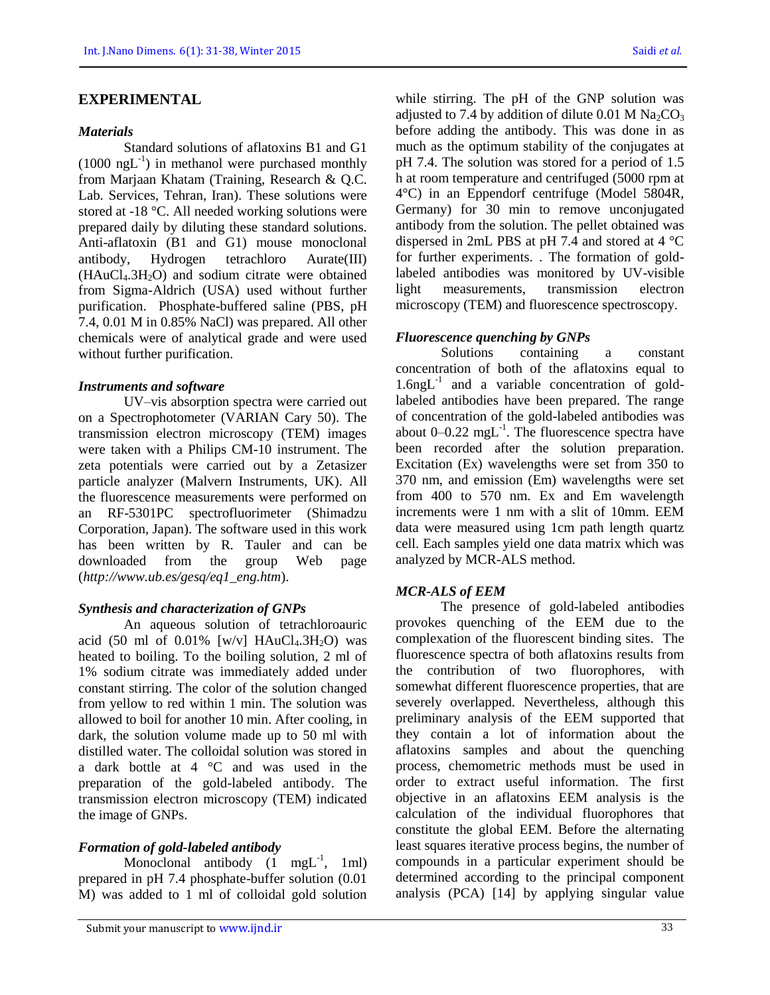## **EXPERIMENTAL**

#### *Materials*

Standard solutions of aflatoxins B1 and G1  $(1000 \text{ ngL}^{-1})$  in methanol were purchased monthly from Marjaan Khatam (Training, Research & Q.C. Lab. Services, Tehran, Iran). These solutions were stored at -18 °C. All needed working solutions were prepared daily by diluting these standard solutions. Anti-aflatoxin (B1 and G1) mouse monoclonal antibody, Hydrogen tetrachloro Aurate(III)  $(HAuCl<sub>4</sub>.3H<sub>2</sub>O)$  and sodium citrate were obtained from Sigma-Aldrich (USA) used without further purification. Phosphate-buffered saline (PBS, pH 7.4, 0.01 M in 0.85% NaCl) was prepared. All other chemicals were of analytical grade and were used without further purification.

## *Instruments and software*

UV–vis absorption spectra were carried out on a Spectrophotometer (VARIAN Cary 50). The transmission electron microscopy (TEM) images were taken with a Philips CM-10 instrument. The zeta potentials were carried out by a Zetasizer particle analyzer (Malvern Instruments, UK). All the fluorescence measurements were performed on an RF-5301PC spectrofluorimeter (Shimadzu Corporation, Japan). The software used in this work has been written by R. Tauler and can be downloaded from the group Web page (*http://www.ub.es/gesq/eq1\_eng.htm*).

## *Synthesis and characterization of GNPs*

An aqueous solution of tetrachloroauric acid (50 ml of  $0.01\%$  [w/v]  $HAuCl<sub>4</sub>.3H<sub>2</sub>O$ ) was heated to boiling. To the boiling solution, 2 ml of 1% sodium citrate was immediately added under constant stirring. The color of the solution changed from yellow to red within 1 min. The solution was allowed to boil for another 10 min. After cooling, in dark, the solution volume made up to 50 ml with distilled water. The colloidal solution was stored in a dark bottle at 4 °C and was used in the preparation of the gold-labeled antibody. The transmission electron microscopy (TEM) indicated the image of GNPs.

## *Formation of gold-labeled antibody*

Monoclonal antibody  $(1 \text{ mgL}^{-1}, 1 \text{ ml})$ prepared in pH 7.4 phosphate-buffer solution (0.01 M) was added to 1 ml of colloidal gold solution

while stirring. The pH of the GNP solution was adjusted to 7.4 by addition of dilute 0.01 M  $\text{Na}_2\text{CO}_3$ before adding the antibody. This was done in as much as the optimum stability of the conjugates at pH 7.4. The solution was stored for a period of 1.5 h at room temperature and centrifuged (5000 rpm at 4°C) in an Eppendorf centrifuge (Model 5804R, Germany) for 30 min to remove unconjugated antibody from the solution. The pellet obtained was dispersed in 2mL PBS at pH 7.4 and stored at 4 °C for further experiments. . The formation of goldlabeled antibodies was monitored by UV-visible light measurements, transmission electron microscopy (TEM) and fluorescence spectroscopy.

## *Fluorescence quenching by GNPs*

Solutions containing a constant concentration of both of the aflatoxins equal to  $1.6$ ng $L^{-1}$  and a variable concentration of goldlabeled antibodies have been prepared. The range of concentration of the gold-labeled antibodies was about  $0-0.22$  mgL $^{-1}$ . The fluorescence spectra have been recorded after the solution preparation. Excitation (Ex) wavelengths were set from 350 to 370 nm, and emission (Em) wavelengths were set from 400 to 570 nm. Ex and Em wavelength increments were 1 nm with a slit of 10mm. EEM data were measured using 1cm path length quartz cell. Each samples yield one data matrix which was analyzed by MCR-ALS method.

## *MCR-ALS of EEM*

The presence of gold-labeled antibodies provokes quenching of the EEM due to the complexation of the fluorescent binding sites. The fluorescence spectra of both aflatoxins results from the contribution of two fluorophores, with somewhat different fluorescence properties, that are severely overlapped. Nevertheless, although this preliminary analysis of the EEM supported that they contain a lot of information about the aflatoxins samples and about the quenching process, chemometric methods must be used in order to extract useful information. The first objective in an aflatoxins EEM analysis is the calculation of the individual fluorophores that constitute the global EEM. Before the alternating least squares iterative process begins, the number of compounds in a particular experiment should be determined according to the principal component analysis (PCA) [14] by applying singular value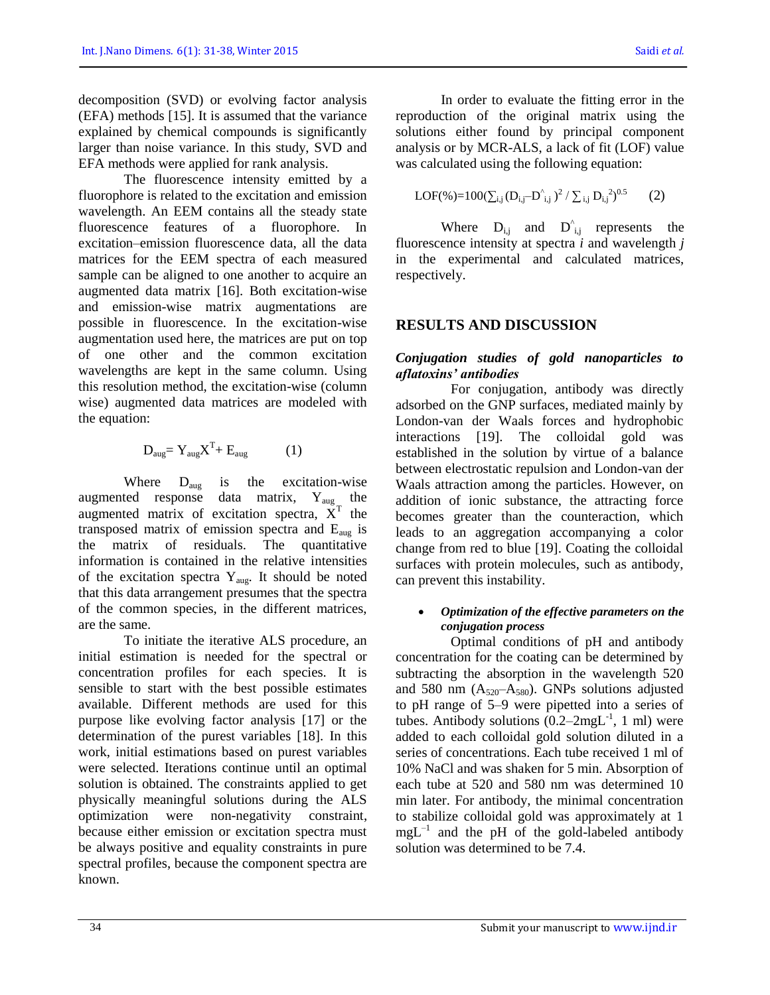decomposition (SVD) or evolving factor analysis (EFA) methods [15]. It is assumed that the variance explained by chemical compounds is significantly larger than noise variance. In this study, SVD and EFA methods were applied for rank analysis.

The fluorescence intensity emitted by a fluorophore is related to the excitation and emission wavelength. An EEM contains all the steady state fluorescence features of a fluorophore. In excitation–emission fluorescence data, all the data matrices for the EEM spectra of each measured sample can be aligned to one another to acquire an augmented data matrix [16]. Both excitation-wise and emission-wise matrix augmentations are possible in fluorescence. In the excitation-wise augmentation used here, the matrices are put on top of one other and the common excitation wavelengths are kept in the same column. Using this resolution method, the excitation-wise (column wise) augmented data matrices are modeled with the equation:

$$
D_{aug} = Y_{aug} X^T + E_{aug} \tag{1}
$$

Where  $D_{\text{aug}}$  is the excitation-wise augmented response data matrix,  $Y_{\text{aug}}$  the augmented matrix of excitation spectra,  $X<sup>T</sup>$  the transposed matrix of emission spectra and Eaug is the matrix of residuals. The quantitative information is contained in the relative intensities of the excitation spectra  $Y_{aug}$ . It should be noted that this data arrangement presumes that the spectra of the common species, in the different matrices, are the same.

To initiate the iterative ALS procedure, an initial estimation is needed for the spectral or concentration profiles for each species. It is sensible to start with the best possible estimates available. Different methods are used for this purpose like evolving factor analysis [17] or the determination of the purest variables [18]. In this work, initial estimations based on purest variables were selected. Iterations continue until an optimal solution is obtained. The constraints applied to get physically meaningful solutions during the ALS optimization were non-negativity constraint, because either emission or excitation spectra must be always positive and equality constraints in pure spectral profiles, because the component spectra are known.

In order to evaluate the fitting error in the reproduction of the original matrix using the solutions either found by principal component analysis or by MCR-ALS, a lack of fit (LOF) value was calculated using the following equation:

$$
LOF(\%){=}100(\textstyle\sum_{i,j}(D_{i,j}{-}D^{'_{i,j}})^{2}/\textstyle\sum_{i,j}D_{i,j}^{2})^{0.5}\qquad(2)
$$

Where  $D_{i,j}$  and  $D^{\hat{}}_{i,j}$  represents the fluorescence intensity at spectra *i* and wavelength *j*  in the experimental and calculated matrices, respectively.

## **RESULTS AND DISCUSSION**

## *Conjugation studies of gold nanoparticles to aflatoxins' antibodies*

For conjugation, antibody was directly adsorbed on the GNP surfaces, mediated mainly by London-van der Waals forces and hydrophobic interactions [19]. The colloidal gold was established in the solution by virtue of a balance between electrostatic repulsion and London-van der Waals attraction among the particles. However, on addition of ionic substance, the attracting force becomes greater than the counteraction, which leads to an aggregation accompanying a color change from red to blue [19]. Coating the colloidal surfaces with protein molecules, such as antibody, can prevent this instability.

#### *Optimization of the effective parameters on the conjugation process*

Optimal conditions of pH and antibody concentration for the coating can be determined by subtracting the absorption in the wavelength 520 and 580 nm  $(A_{520}-A_{580})$ . GNPs solutions adjusted to pH range of 5–9 were pipetted into a series of tubes. Antibody solutions  $(0.2-2mgL^{-1}, 1 ml)$  were added to each colloidal gold solution diluted in a series of concentrations. Each tube received 1 ml of 10% NaCl and was shaken for 5 min. Absorption of each tube at 520 and 580 nm was determined 10 min later. For antibody, the minimal concentration to stabilize colloidal gold was approximately at 1  $mgL^{-1}$  and the pH of the gold-labeled antibody solution was determined to be 7.4.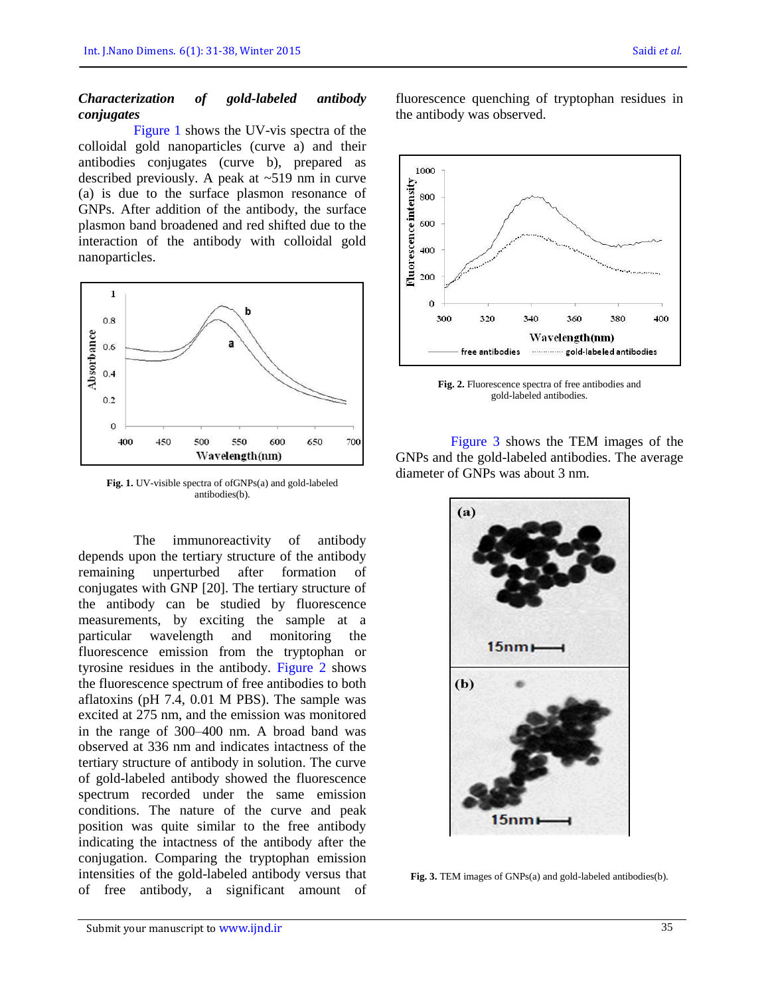Figure 1 shows the UV-vis spectra of the colloidal gold nanoparticles (curve a) and their antibodies conjugates (curve b), prepared as described previously. A peak at ~519 nm in curve (a) is due to the surface plasmon resonance of GNPs. After addition of the antibody, the surface plasmon band broadened and red shifted due to the interaction of the antibody with colloidal gold nanoparticles.



**Fig. 1.** UV-visible spectra of ofGNPs(a) and gold-labeled antibodies(b).

The immunoreactivity of antibody depends upon the tertiary structure of the antibody remaining unperturbed after formation of conjugates with GNP [20]. The tertiary structure of the antibody can be studied by fluorescence measurements, by exciting the sample at a particular wavelength and monitoring the fluorescence emission from the tryptophan or tyrosine residues in the antibody. Figure 2 shows the fluorescence spectrum of free antibodies to both aflatoxins (pH 7.4, 0.01 M PBS). The sample was excited at 275 nm, and the emission was monitored in the range of 300–400 nm. A broad band was observed at 336 nm and indicates intactness of the tertiary structure of antibody in solution. The curve of gold-labeled antibody showed the fluorescence spectrum recorded under the same emission conditions. The nature of the curve and peak position was quite similar to the free antibody indicating the intactness of the antibody after the conjugation. Comparing the tryptophan emission intensities of the gold-labeled antibody versus that of free antibody, a significant amount of

fluorescence quenching of tryptophan residues in the antibody was observed.



**Fig. 2.** Fluorescence spectra of free antibodies and gold-labeled antibodies.

Figure 3 shows the TEM images of the GNPs and the gold-labeled antibodies. The average diameter of GNPs was about 3 nm.



**Fig. 3.** TEM images of GNPs(a) and gold-labeled antibodies(b).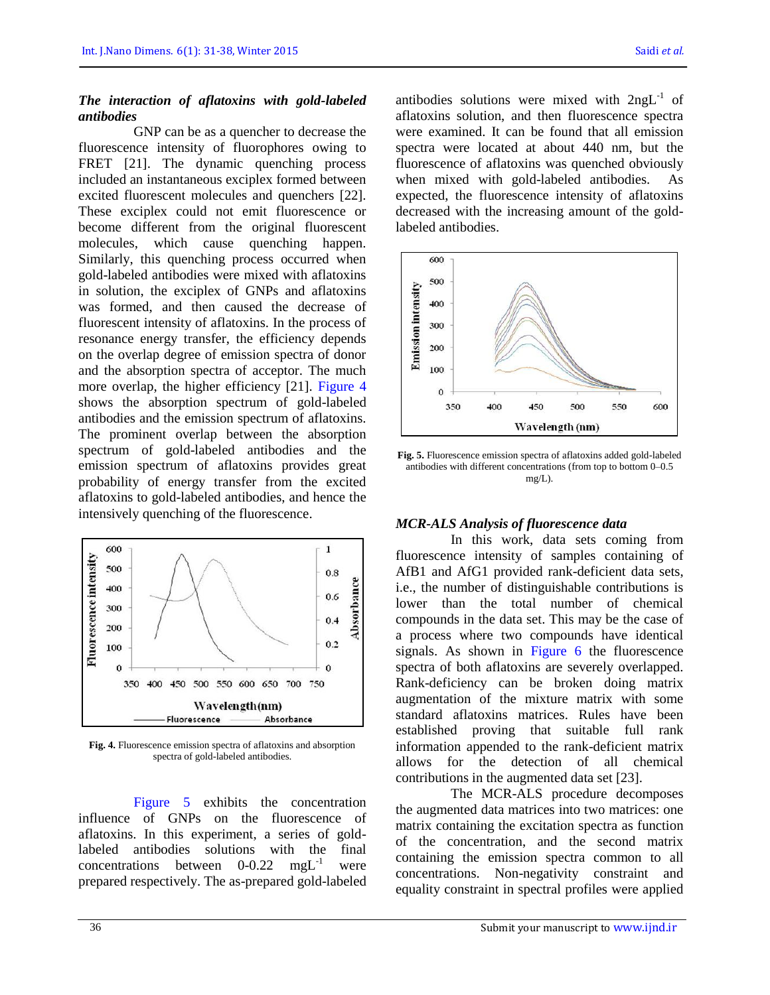#### *The interaction of aflatoxins with gold-labeled antibodies*

GNP can be as a quencher to decrease the fluorescence intensity of fluorophores owing to FRET [21]. The dynamic quenching process included an instantaneous exciplex formed between excited fluorescent molecules and quenchers [22]. These exciplex could not emit fluorescence or become different from the original fluorescent molecules, which cause quenching happen. Similarly, this quenching process occurred when gold-labeled antibodies were mixed with aflatoxins in solution, the exciplex of GNPs and aflatoxins was formed, and then caused the decrease of fluorescent intensity of aflatoxins. In the process of resonance energy transfer, the efficiency depends on the overlap degree of emission spectra of donor and the absorption spectra of acceptor. The much more overlap, the higher efficiency [21]. Figure 4 shows the absorption spectrum of gold-labeled antibodies and the emission spectrum of aflatoxins. The prominent overlap between the absorption spectrum of gold-labeled antibodies and the emission spectrum of aflatoxins provides great probability of energy transfer from the excited aflatoxins to gold-labeled antibodies, and hence the intensively quenching of the fluorescence.



**Fig. 4.** Fluorescence emission spectra of aflatoxins and absorption spectra of gold-labeled antibodies.

Figure 5 exhibits the concentration influence of GNPs on the fluorescence of aflatoxins. In this experiment, a series of goldlabeled antibodies solutions with the final concentrations between  $0-0.22$  mgL<sup>-1</sup> were prepared respectively. The as-prepared gold-labeled

antibodies solutions were mixed with  $2ngL^{-1}$  of aflatoxins solution, and then fluorescence spectra were examined. It can be found that all emission spectra were located at about 440 nm, but the fluorescence of aflatoxins was quenched obviously when mixed with gold-labeled antibodies. As expected, the fluorescence intensity of aflatoxins decreased with the increasing amount of the goldlabeled antibodies.



**Fig. 5.** Fluorescence emission spectra of aflatoxins added gold-labeled antibodies with different concentrations (from top to bottom 0–0.5 mg/L).

#### *MCR-ALS Analysis of fluorescence data*

In this work, data sets coming from fluorescence intensity of samples containing of AfB1 and AfG1 provided rank-deficient data sets, i.e., the number of distinguishable contributions is lower than the total number of chemical compounds in the data set. This may be the case of a process where two compounds have identical signals. As shown in Figure 6 the fluorescence spectra of both aflatoxins are severely overlapped. Rank-deficiency can be broken doing matrix augmentation of the mixture matrix with some standard aflatoxins matrices. Rules have been established proving that suitable full rank information appended to the rank-deficient matrix allows for the detection of all chemical contributions in the augmented data set [23].

The MCR-ALS procedure decomposes the augmented data matrices into two matrices: one matrix containing the excitation spectra as function of the concentration, and the second matrix containing the emission spectra common to all concentrations. Non-negativity constraint and equality constraint in spectral profiles were applied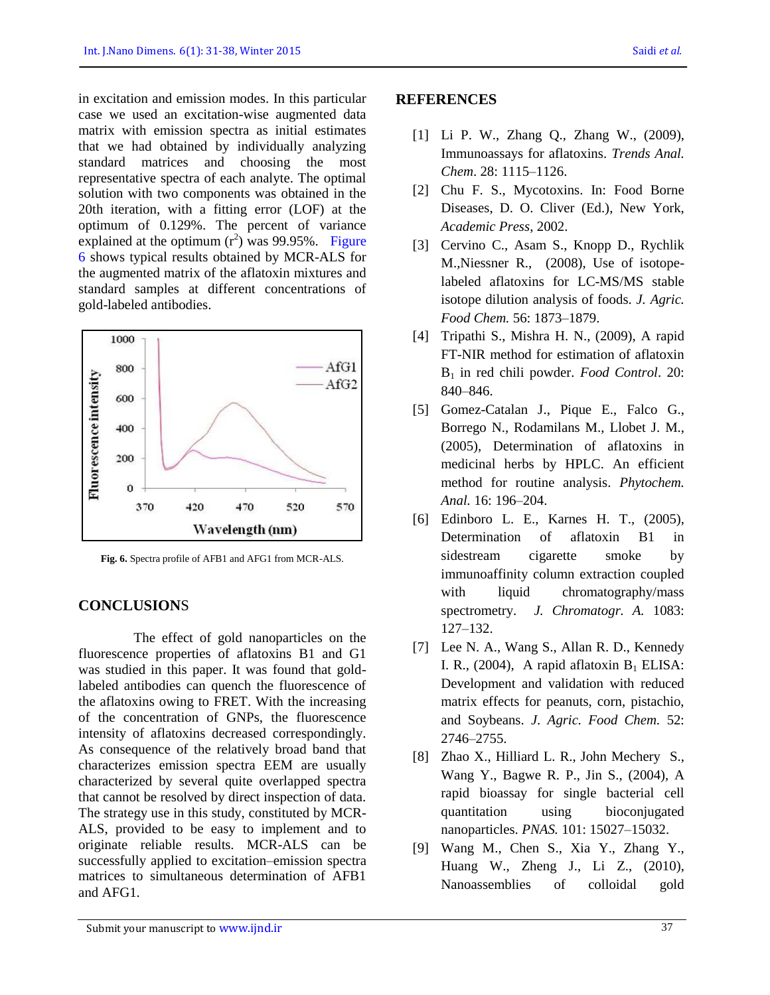in excitation and emission modes. In this particular case we used an excitation-wise augmented data matrix with emission spectra as initial estimates that we had obtained by individually analyzing standard matrices and choosing the most representative spectra of each analyte. The optimal solution with two components was obtained in the 20th iteration, with a fitting error (LOF) at the optimum of 0.129%. The percent of variance explained at the optimum  $(r^2)$  was 99.95%. Figure 6 shows typical results obtained by MCR-ALS for the augmented matrix of the aflatoxin mixtures and standard samples at different concentrations of gold-labeled antibodies.



**Fig. 6.** Spectra profile of AFB1 and AFG1 from MCR-ALS.

## **CONCLUSION**S

The effect of gold nanoparticles on the fluorescence properties of aflatoxins B1 and G1 was studied in this paper. It was found that goldlabeled antibodies can quench the fluorescence of the aflatoxins owing to FRET. With the increasing of the concentration of GNPs, the fluorescence intensity of aflatoxins decreased correspondingly. As consequence of the relatively broad band that characterizes emission spectra EEM are usually characterized by several quite overlapped spectra that cannot be resolved by direct inspection of data. The strategy use in this study, constituted by MCR-ALS, provided to be easy to implement and to originate reliable results. MCR-ALS can be successfully applied to excitation–emission spectra matrices to simultaneous determination of AFB1 and AFG1.

#### **REFERENCES**

- [1] Li P. W., Zhang O., Zhang W., (2009), Immunoassays for aflatoxins. *Trends Anal. Chem*. 28: 1115–1126.
- [2] Chu F. S., Mycotoxins. In: Food Borne Diseases, D. O. Cliver (Ed.), New York, *Academic Press*, 2002.
- [3] Cervino C., Asam S., Knopp D., Rychlik M.,Niessner R., (2008), Use of isotopelabeled aflatoxins for LC-MS/MS stable isotope dilution analysis of foods. *J. Agric. Food Chem.* 56: 1873–1879.
- [4] Tripathi S., Mishra H. N., (2009), A rapid FT-NIR method for estimation of aflatoxin B<sup>1</sup> in red chili powder. *Food Control*. 20: 840–846.
- [5] Gomez-Catalan J., Pique E., Falco G., Borrego N., Rodamilans M., Llobet J. M., (2005), Determination of aflatoxins in medicinal herbs by HPLC. An efficient method for routine analysis. *Phytochem. Anal.* 16: 196–204.
- [6] Edinboro L. E., Karnes H. T., (2005), Determination of aflatoxin B1 in sidestream cigarette smoke by immunoaffinity column extraction coupled with liquid chromatography/mass spectrometry. *J. Chromatogr. A.* 1083: 127–132.
- [7] Lee N. A., Wang S., Allan R. D., Kennedy I. R.,  $(2004)$ , A rapid aflatoxin B<sub>1</sub> ELISA: Development and validation with reduced matrix effects for peanuts, corn, pistachio, and Soybeans. *J. Agric. Food Chem.* 52: 2746–2755.
- [8] Zhao X., Hilliard L. R., John Mechery S., Wang Y., Bagwe R. P., Jin S., (2004), A rapid bioassay for single bacterial cell quantitation using bioconjugated nanoparticles. *PNAS.* 101: 15027–15032.
- [9] Wang M., Chen S., Xia Y., Zhang Y., Huang W., Zheng J., Li Z., (2010), Nanoassemblies of colloidal gold